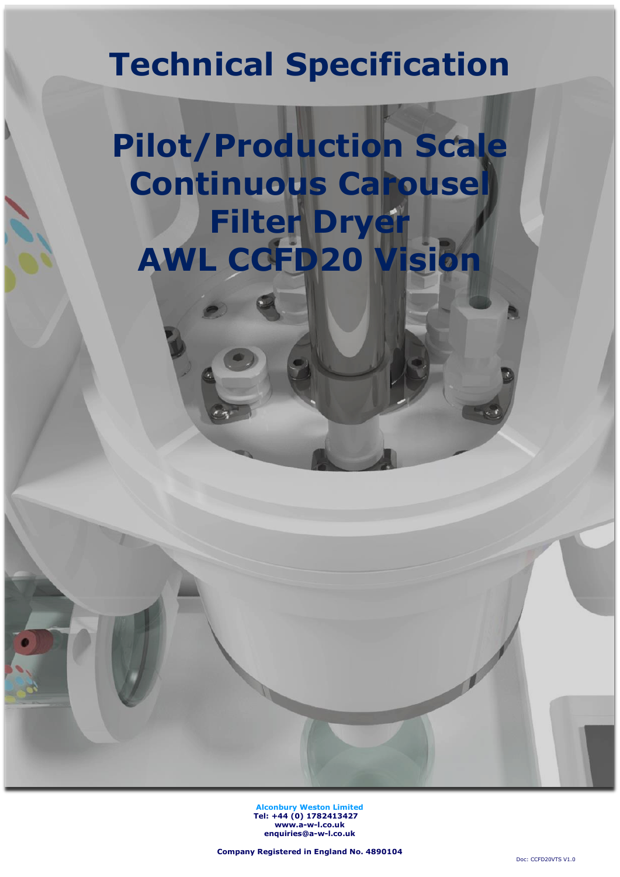## **Technical Specification**

# **Pilot/Production Scale Continuous Carousel Filter Dryer AWL CCFD20 Vision**

**Alconbury Weston Limited Tel: +44 (0) 1782413427 [www.a-w-l.co.uk](http://www.a-w-l.co.uk/) enquiries@a-w-l.co.uk**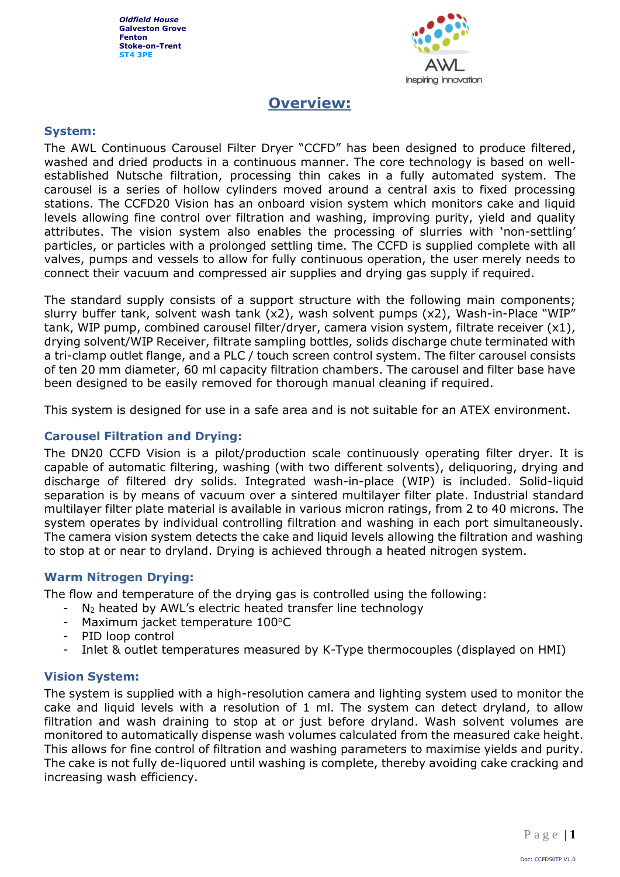

## **Overview:**

#### **System:**

The AWL Continuous Carousel Filter Dryer "CCFD" has been designed to produce filtered, washed and dried products in a continuous manner. The core technology is based on wellestablished Nutsche filtration, processing thin cakes in a fully automated system. The carousel is a series of hollow cylinders moved around a central axis to fixed processing stations. The CCFD20 Vision has an onboard vision system which monitors cake and liquid levels allowing fine control over filtration and washing, improving purity, yield and quality attributes. The vision system also enables the processing of slurries with 'non-settling' particles, or particles with a prolonged settling time. The CCFD is supplied complete with all valves, pumps and vessels to allow for fully continuous operation, the user merely needs to connect their vacuum and compressed air supplies and drying gas supply if required.

The standard supply consists of a support structure with the following main components; slurry buffer tank, solvent wash tank (x2), wash solvent pumps (x2), Wash-in-Place "WIP" tank, WIP pump, combined carousel filter/dryer, camera vision system, filtrate receiver  $(x1)$ , drying solvent/WIP Receiver, filtrate sampling bottles, solids discharge chute terminated with a tri-clamp outlet flange, and a PLC / touch screen control system. The filter carousel consists of ten 20 mm diameter, 60 ml capacity filtration chambers. The carousel and filter base have been designed to be easily removed for thorough manual cleaning if required.

This system is designed for use in a safe area and is not suitable for an ATEX environment.

#### **Carousel Filtration and Drying:**

The DN20 CCFD Vision is a pilot/production scale continuously operating filter dryer. It is capable of automatic filtering, washing (with two different solvents), deliquoring, drying and discharge of filtered dry solids. Integrated wash-in-place (WIP) is included. Solid-liquid separation is by means of vacuum over a sintered multilayer filter plate. Industrial standard multilayer filter plate material is available in various micron ratings, from 2 to 40 microns. The system operates by individual controlling filtration and washing in each port simultaneously. The camera vision system detects the cake and liquid levels allowing the filtration and washing to stop at or near to dryland. Drying is achieved through a heated nitrogen system.

#### **Warm Nitrogen Drying:**

The flow and temperature of the drying gas is controlled using the following:

- $N_2$  heated by AWL's electric heated transfer line technology
- Maximum jacket temperature  $100^{\circ}$ C
- PID loop control
- Inlet & outlet temperatures measured by K-Type thermocouples (displayed on HMI)

#### **Vision System:**

The system is supplied with a high-resolution camera and lighting system used to monitor the cake and liquid levels with a resolution of 1 ml. The system can detect dryland, to allow filtration and wash draining to stop at or just before dryland. Wash solvent volumes are monitored to automatically dispense wash volumes calculated from the measured cake height. This allows for fine control of filtration and washing parameters to maximise yields and purity. The cake is not fully de-liquored until washing is complete, thereby avoiding cake cracking and increasing wash efficiency.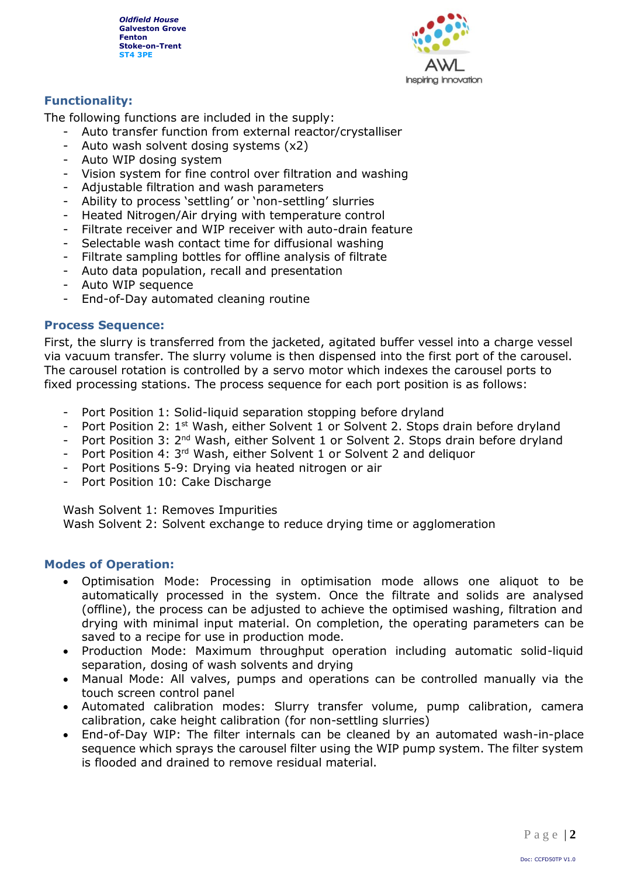

#### **Functionality:**

The following functions are included in the supply:

- Auto transfer function from external reactor/crystalliser
- Auto wash solvent dosing systems (x2)
- Auto WIP dosing system
- Vision system for fine control over filtration and washing
- Adjustable filtration and wash parameters
- Ability to process 'settling' or 'non-settling' slurries
- Heated Nitrogen/Air drying with temperature control
- Filtrate receiver and WIP receiver with auto-drain feature
- Selectable wash contact time for diffusional washing
- Filtrate sampling bottles for offline analysis of filtrate
- Auto data population, recall and presentation
- Auto WIP sequence
- End-of-Day automated cleaning routine

#### **Process Sequence:**

First, the slurry is transferred from the jacketed, agitated buffer vessel into a charge vessel via vacuum transfer. The slurry volume is then dispensed into the first port of the carousel. The carousel rotation is controlled by a servo motor which indexes the carousel ports to fixed processing stations. The process sequence for each port position is as follows:

- Port Position 1: Solid-liquid separation stopping before dryland
- Port Position 2: 1<sup>st</sup> Wash, either Solvent 1 or Solvent 2. Stops drain before dryland
- Port Position 3: 2<sup>nd</sup> Wash, either Solvent 1 or Solvent 2. Stops drain before dryland
- Port Position 4: 3<sup>rd</sup> Wash, either Solvent 1 or Solvent 2 and deliquor
- Port Positions 5-9: Drying via heated nitrogen or air
- Port Position 10: Cake Discharge

Wash Solvent 1: Removes Impurities

Wash Solvent 2: Solvent exchange to reduce drying time or agglomeration

#### **Modes of Operation:**

- Optimisation Mode: Processing in optimisation mode allows one aliquot to be automatically processed in the system. Once the filtrate and solids are analysed (offline), the process can be adjusted to achieve the optimised washing, filtration and drying with minimal input material. On completion, the operating parameters can be saved to a recipe for use in production mode.
- Production Mode: Maximum throughput operation including automatic solid-liquid separation, dosing of wash solvents and drying
- Manual Mode: All valves, pumps and operations can be controlled manually via the touch screen control panel
- Automated calibration modes: Slurry transfer volume, pump calibration, camera calibration, cake height calibration (for non-settling slurries)
- End-of-Day WIP: The filter internals can be cleaned by an automated wash-in-place sequence which sprays the carousel filter using the WIP pump system. The filter system is flooded and drained to remove residual material.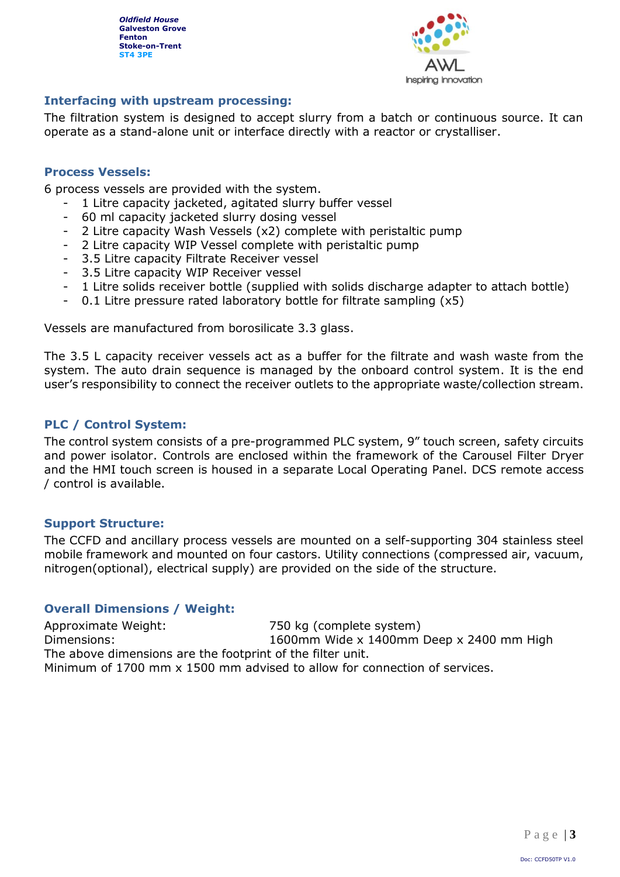

#### **Interfacing with upstream processing:**

The filtration system is designed to accept slurry from a batch or continuous source. It can operate as a stand-alone unit or interface directly with a reactor or crystalliser.

#### **Process Vessels:**

6 process vessels are provided with the system.

- 1 Litre capacity jacketed, agitated slurry buffer vessel
- 60 ml capacity jacketed slurry dosing vessel
- 2 Litre capacity Wash Vessels (x2) complete with peristaltic pump
- 2 Litre capacity WIP Vessel complete with peristaltic pump
- 3.5 Litre capacity Filtrate Receiver vessel
- 3.5 Litre capacity WIP Receiver vessel
- 1 Litre solids receiver bottle (supplied with solids discharge adapter to attach bottle)
- 0.1 Litre pressure rated laboratory bottle for filtrate sampling  $(x5)$

Vessels are manufactured from borosilicate 3.3 glass.

The 3.5 L capacity receiver vessels act as a buffer for the filtrate and wash waste from the system. The auto drain sequence is managed by the onboard control system. It is the end user's responsibility to connect the receiver outlets to the appropriate waste/collection stream.

#### **PLC / Control System:**

The control system consists of a pre-programmed PLC system, 9" touch screen, safety circuits and power isolator. Controls are enclosed within the framework of the Carousel Filter Dryer and the HMI touch screen is housed in a separate Local Operating Panel. DCS remote access / control is available.

#### **Support Structure:**

The CCFD and ancillary process vessels are mounted on a self-supporting 304 stainless steel mobile framework and mounted on four castors. Utility connections (compressed air, vacuum, nitrogen(optional), electrical supply) are provided on the side of the structure.

#### **Overall Dimensions / Weight:**

Approximate Weight: 750 kg (complete system) Dimensions: 1600mm Wide x 1400mm Deep x 2400 mm High The above dimensions are the footprint of the filter unit. Minimum of 1700 mm x 1500 mm advised to allow for connection of services.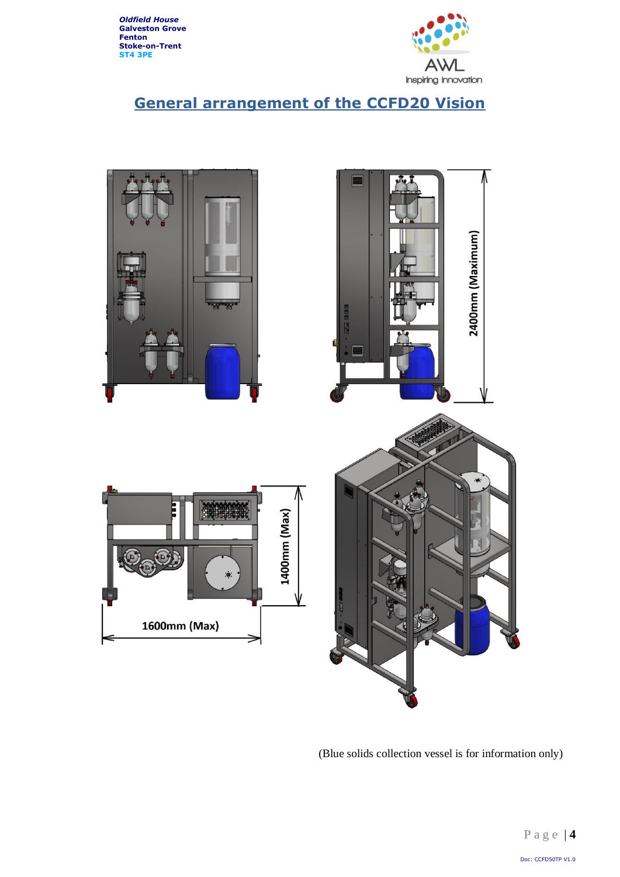

## **General arrangement of the CCFD20 Vision**



(Blue solids collection vessel is for information only)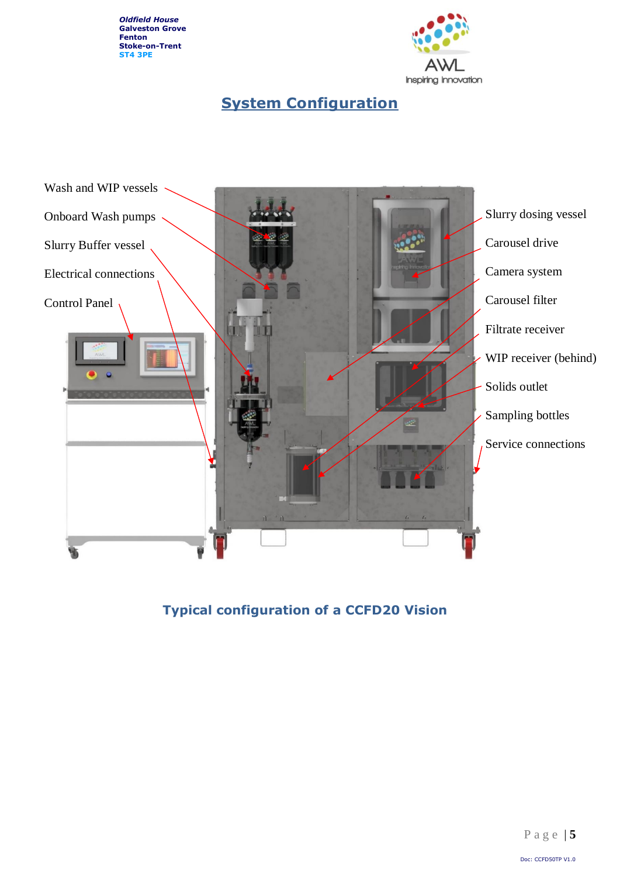

## **System Configuration**



**Typical configuration of a CCFD20 Vision**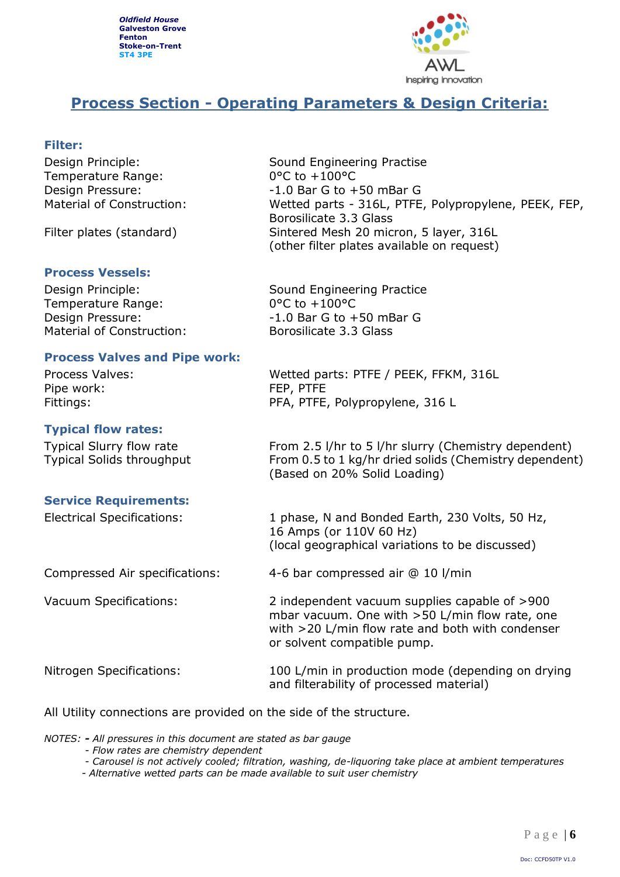

## **Process Section - Operating Parameters & Design Criteria:**

#### **Filter:**

Design Principle: Sound Engineering Practise Temperature Range: 0°C to +100°C

#### **Process Vessels:**

Temperature Range: 0°C to +100°C Material of Construction: Borosilicate 3.3 Glass

#### **Process Valves and Pipe work:**

Pipe work: FEP, PTFE

#### **Typical flow rates:**

#### **Service Requirements:**

Design Pressure:  $-1.0$  Bar G to +50 mBar G Material of Construction: Wetted parts - 316L, PTFE, Polypropylene, PEEK, FEP, Borosilicate 3.3 Glass Filter plates (standard) Sintered Mesh 20 micron, 5 layer, 316L (other filter plates available on request)

Design Principle: Sound Engineering Practice Design Pressure:  $-1.0$  Bar G to +50 mBar G

Process Valves: Wetted parts: PTFE / PEEK, FFKM, 316L Fittings: The PFA, PTFE, Polypropylene, 316 L

Typical Slurry flow rate From 2.5 l/hr to 5 l/hr slurry (Chemistry dependent) Typical Solids throughput From 0.5 to 1 kg/hr dried solids (Chemistry dependent) (Based on 20% Solid Loading)

Electrical Specifications: 1 phase, N and Bonded Earth, 230 Volts, 50 Hz, 16 Amps (or 110V 60 Hz) (local geographical variations to be discussed)

Compressed Air specifications: 4-6 bar compressed air @ 10 l/min

Vacuum Specifications: 2 independent vacuum supplies capable of >900

Nitrogen Specifications: 100 L/min in production mode (depending on drying and filterability of processed material)

mbar vacuum. One with >50 L/min flow rate, one with >20 L/min flow rate and both with condenser

All Utility connections are provided on the side of the structure.

*NOTES: - All pressures in this document are stated as bar gauge*

- *- Flow rates are chemistry dependent*
- *- Carousel is not actively cooled; filtration, washing, de-liquoring take place at ambient temperatures*

or solvent compatible pump.

*- Alternative wetted parts can be made available to suit user chemistry*